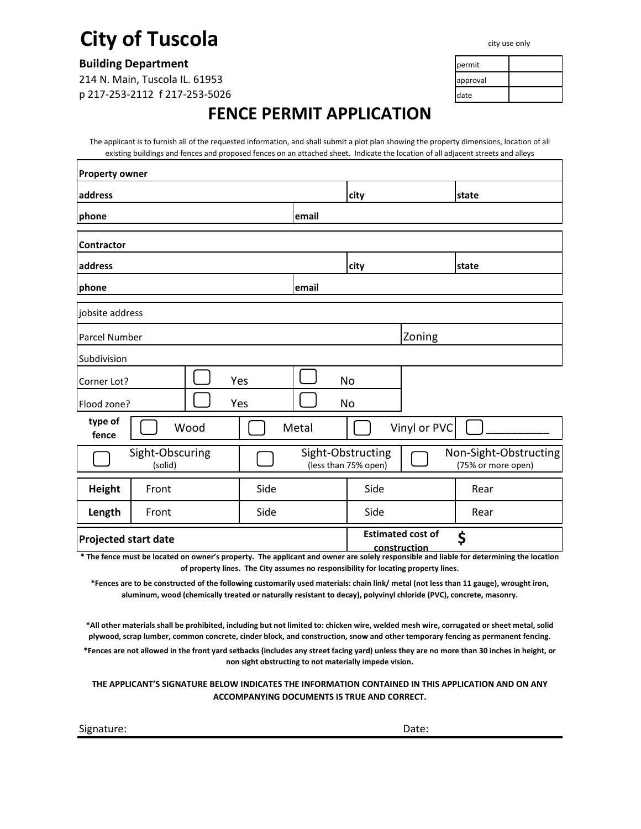## **City of Tuscola**

**Building Department** permit permit by the set of the set of the set of the set of the set of the set of the set of the set of the set of the set of the set of the set of the set of the set of the set of the set of the set

214 N. Main, Tuscola IL. 61953 **approval** approval p 217-253-2112 f 217-253-5026 date

## **FENCE PERMIT APPLICATION**

The applicant is to furnish all of the requested information, and shall submit a plot plan showing the property dimensions, location of all existing buildings and fences and proposed fences on an attached sheet. Indicate the location of all adjacent streets and alleys

| <b>Property owner</b>                                                                                                                                           |      |      |       |                                           |                                          |                                             |
|-----------------------------------------------------------------------------------------------------------------------------------------------------------------|------|------|-------|-------------------------------------------|------------------------------------------|---------------------------------------------|
| address                                                                                                                                                         |      |      |       | city                                      |                                          | state                                       |
| phone                                                                                                                                                           |      |      | email |                                           |                                          |                                             |
| <b>Contractor</b>                                                                                                                                               |      |      |       |                                           |                                          |                                             |
| address                                                                                                                                                         |      | city |       | state                                     |                                          |                                             |
| phone                                                                                                                                                           |      |      | email |                                           |                                          |                                             |
| jobsite address                                                                                                                                                 |      |      |       |                                           |                                          |                                             |
| <b>Parcel Number</b>                                                                                                                                            |      |      |       |                                           | Zoning                                   |                                             |
| Subdivision                                                                                                                                                     |      |      |       |                                           |                                          |                                             |
| Yes<br>Corner Lot?                                                                                                                                              |      |      |       | <b>No</b>                                 |                                          |                                             |
| Yes<br>Flood zone?                                                                                                                                              |      |      |       | No                                        |                                          |                                             |
| type of<br>fence                                                                                                                                                | Wood |      | Metal |                                           | Vinyl or PVC                             |                                             |
| Sight-Obscuring<br>(solid)                                                                                                                                      |      |      |       | Sight-Obstructing<br>(less than 75% open) |                                          | Non-Sight-Obstructing<br>(75% or more open) |
| <b>Height</b><br>Front                                                                                                                                          |      | Side |       | Side                                      |                                          | Rear                                        |
| Length<br>Front                                                                                                                                                 |      | Side |       | Side                                      |                                          | Rear                                        |
| Projected start date<br>* The fence must be located on owner's property. The applicant and owner are solely responsible and liable for determining the location |      |      |       |                                           | <b>Estimated cost of</b><br>construction | \$                                          |

**of property lines. The City assumes no responsibility for locating property lines.** 

**\*Fences are to be constructed of the following customarily used materials: chain link/ metal (not less than 11 gauge), wrought iron, aluminum, wood (chemically treated or naturally resistant to decay), polyvinyl chloride (PVC), concrete, masonry.** 

**\*All other materials shall be prohibited, including but not limited to: chicken wire, welded mesh wire, corrugated or sheet metal, solid plywood, scrap lumber, common concrete, cinder block, and construction, snow and other temporary fencing as permanent fencing.** 

**\*Fences are not allowed in the front yard setbacks (includes any street facing yard) unless they are no more than 30 inches in height, or non sight obstructing to not materially impede vision.**

**THE APPLICANT'S SIGNATURE BELOW INDICATES THE INFORMATION CONTAINED IN THIS APPLICATION AND ON ANY ACCOMPANYING DOCUMENTS IS TRUE AND CORRECT.** 



city use only